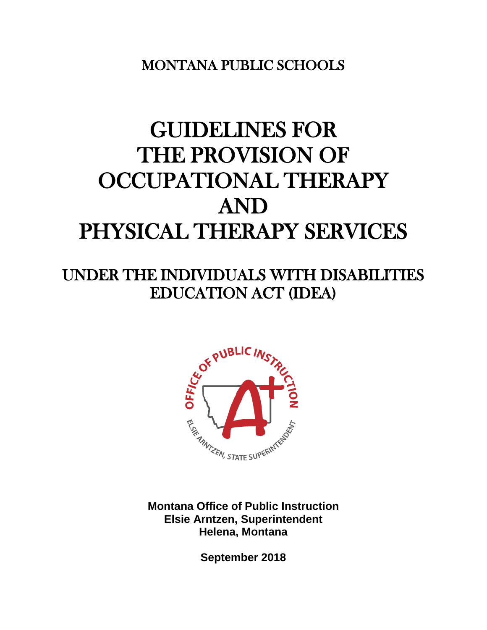MONTANA PUBLIC SCHOOLS

# GUIDELINES FOR THE PROVISION OF OCCUPATIONAL THERAPY AND PHYSICAL THERAPY SERVICES

# UNDER THE INDIVIDUALS WITH DISABILITIES EDUCATION ACT (IDEA)



**Montana Office of Public Instruction Elsie Arntzen, Superintendent Helena, Montana**

**September 2018**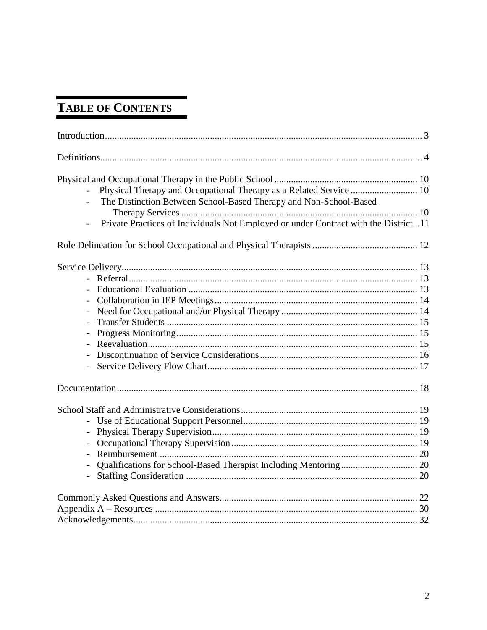# TABLE OF CONTENTS

| The Distinction Between School-Based Therapy and Non-School-Based<br>Private Practices of Individuals Not Employed or under Contract with the District11 |  |
|----------------------------------------------------------------------------------------------------------------------------------------------------------|--|
|                                                                                                                                                          |  |
|                                                                                                                                                          |  |
|                                                                                                                                                          |  |
|                                                                                                                                                          |  |
|                                                                                                                                                          |  |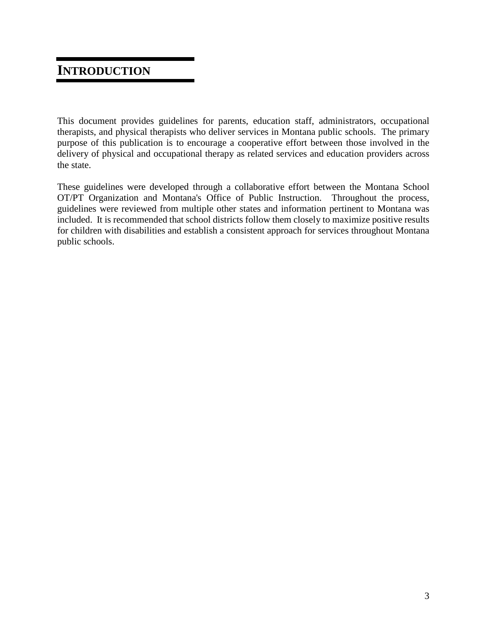## **INTRODUCTION**

This document provides guidelines for parents, education staff, administrators, occupational therapists, and physical therapists who deliver services in Montana public schools. The primary purpose of this publication is to encourage a cooperative effort between those involved in the delivery of physical and occupational therapy as related services and education providers across the state.

These guidelines were developed through a collaborative effort between the Montana School OT/PT Organization and Montana's Office of Public Instruction. Throughout the process, guidelines were reviewed from multiple other states and information pertinent to Montana was included. It is recommended that school districts follow them closely to maximize positive results for children with disabilities and establish a consistent approach for services throughout Montana public schools.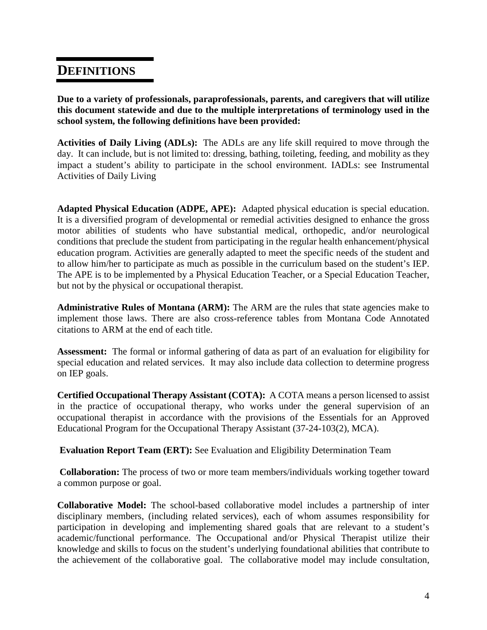### **DEFINITIONS**

**Due to a variety of professionals, paraprofessionals, parents, and caregivers that will utilize this document statewide and due to the multiple interpretations of terminology used in the school system, the following definitions have been provided:**

**Activities of Daily Living (ADLs):** The ADLs are any life skill required to move through the day. It can include, but is not limited to: dressing, bathing, toileting, feeding, and mobility as they impact a student's ability to participate in the school environment. IADLs: see Instrumental Activities of Daily Living

**Adapted Physical Education (ADPE, APE):** Adapted physical education is special education. It is a diversified program of developmental or remedial activities designed to enhance the gross motor abilities of students who have substantial medical, orthopedic, and/or neurological conditions that preclude the student from participating in the regular health enhancement/physical education program. Activities are generally adapted to meet the specific needs of the student and to allow him/her to participate as much as possible in the curriculum based on the student's IEP. The APE is to be implemented by a Physical Education Teacher, or a Special Education Teacher, but not by the physical or occupational therapist.

**Administrative Rules of Montana (ARM):** The [ARM](http://arm.sos.mt.gov/) are the rules that state agencies make to implement those laws. There are also cross-reference tables from Montana Code Annotated citations to ARM at the end of each title.

**Assessment:** The formal or informal gathering of data as part of an evaluation for eligibility for special education and related services. It may also include data collection to determine progress on IEP goals.

**Certified Occupational Therapy Assistant (COTA):** A COTA means a person licensed to assist in the practice of occupational therapy, who works under the general supervision of an occupational therapist in accordance with the provisions of the Essentials for an Approved Educational Program for the Occupational Therapy Assistant (37-24-103(2), MCA).

**Evaluation Report Team (ERT):** See Evaluation and Eligibility Determination Team

**Collaboration:** The process of two or more team members/individuals working together toward a common purpose or goal.

**Collaborative Model:** The school-based collaborative model includes a partnership of inter disciplinary members, (including related services), each of whom assumes responsibility for participation in developing and implementing shared goals that are relevant to a student's academic/functional performance. The Occupational and/or Physical Therapist utilize their knowledge and skills to focus on the student's underlying foundational abilities that contribute to the achievement of the collaborative goal. The collaborative model may include consultation,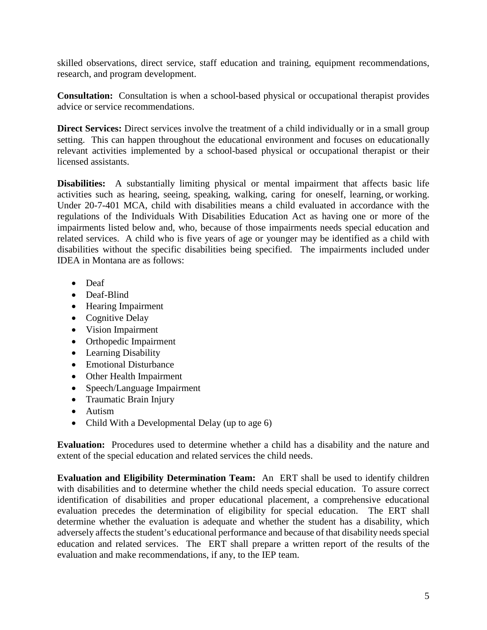skilled observations, direct service, staff education and training, equipment recommendations, research, and program development.

**Consultation:** Consultation is when a school-based physical or occupational therapist provides advice or service recommendations.

**Direct Services:** Direct services involve the treatment of a child individually or in a small group setting. This can happen throughout the educational environment and focuses on educationally relevant activities implemented by a school-based physical or occupational therapist or their licensed assistants.

**Disabilities:** A substantially limiting physical or mental impairment that affects basic life activities such as hearing, seeing, speaking, walking, caring for oneself, learning, or working. Under 20-7-401 MCA, child with disabilities means a child evaluated in accordance with the regulations of the Individuals With Disabilities Education Act as having one or more of the impairments listed below and, who, because of those impairments needs special education and related services. A child who is five years of age or younger may be identified as a child with disabilities without the specific disabilities being specified. The impairments included under IDEA in Montana are as follows:

- Deaf
- Deaf-Blind
- Hearing Impairment
- Cognitive Delay
- Vision Impairment
- Orthopedic Impairment
- Learning Disability
- Emotional Disturbance
- Other Health Impairment
- Speech/Language Impairment
- Traumatic Brain Injury
- Autism
- Child With a Developmental Delay (up to age 6)

**Evaluation:** Procedures used to determine whether a child has a disability and the nature and extent of the special education and related services the child needs.

**Evaluation and Eligibility Determination Team:** An ERT shall be used to identify children with disabilities and to determine whether the child needs special education. To assure correct identification of disabilities and proper educational placement, a comprehensive educational evaluation precedes the determination of eligibility for special education. The ERT shall determine whether the evaluation is adequate and whether the student has a disability, which adversely affects the student's educational performance and because of that disability needs special education and related services. The ERT shall prepare a written report of the results of the evaluation and make recommendations, if any, to the IEP team.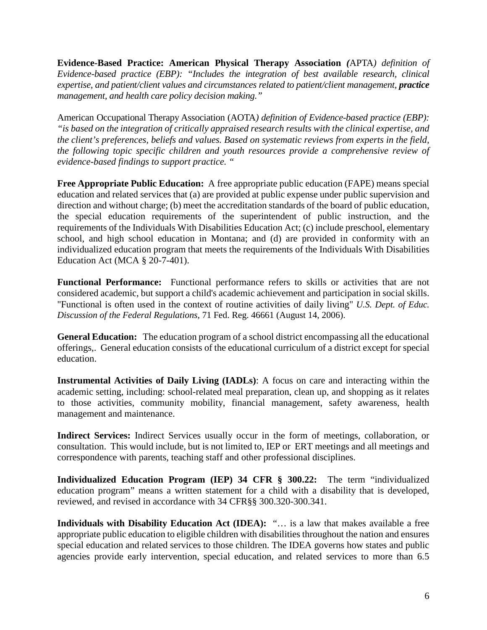**Evidence-Based Practice: American Physical Therapy Association** *(*APTA*) definition of Evidence-based practice (EBP): "Includes the integration of best available research, clinical expertise, and patient/client values and circumstances related to patient/client management, practice management, and health care policy decision making."*

American Occupational Therapy Association (AOTA*) definition of Evidence-based practice (EBP): "is based on the integration of critically appraised research results with the clinical expertise, and the client's preferences, beliefs and values. Based on systematic reviews from experts in the field, the following topic specific children and youth resources provide a comprehensive review of evidence-based findings to support practice. "*

**Free Appropriate Public Education:** A free appropriate public education (FAPE) means special education and related services that (a) are provided at public expense under public supervision and direction and without charge; (b) meet the accreditation standards of the board of public education, the special education requirements of the superintendent of public instruction, and the requirements of the Individuals With Disabilities Education Act; (c) include preschool, elementary school, and high school education in Montana; and (d) are provided in conformity with an individualized education program that meets the requirements of the Individuals With Disabilities Education Act (MCA § 20-7-401).

**Functional Performance:** Functional performance refers to skills or activities that are not considered academic, but support a child's academic achievement and participation in social skills. "Functional is often used in the context of routine activities of daily living" *U.S. Dept. of Educ. Discussion of the Federal Regulations*, 71 Fed. Reg. 46661 (August 14, 2006).

**General Education:** The education program of a school district encompassing all the educational offerings,. General education consists of the educational curriculum of a district except for special education.

**Instrumental Activities of Daily Living (IADLs)**: A focus on care and interacting within the academic setting, including: school-related meal preparation, clean up, and shopping as it relates to those activities, community mobility, financial management, safety awareness, health management and maintenance.

**Indirect Services:** Indirect Services usually occur in the form of meetings, collaboration, or consultation. This would include, but is not limited to, IEP or ERT meetings and all meetings and correspondence with parents, teaching staff and other professional disciplines.

**Individualized Education Program (IEP) 34 CFR § 300.22:** The term "individualized education program" means a written statement for a child with a disability that is developed, reviewed, and revised in accordance with 34 CFR§§ 300.320-300.341.

**Individuals with Disability Education Act (IDEA):** "… is a law that makes available a free appropriate public education to eligible children with disabilities throughout the nation and ensures special education and related services to those children. The IDEA governs how states and public agencies provide early intervention, special education, and related services to more than 6.5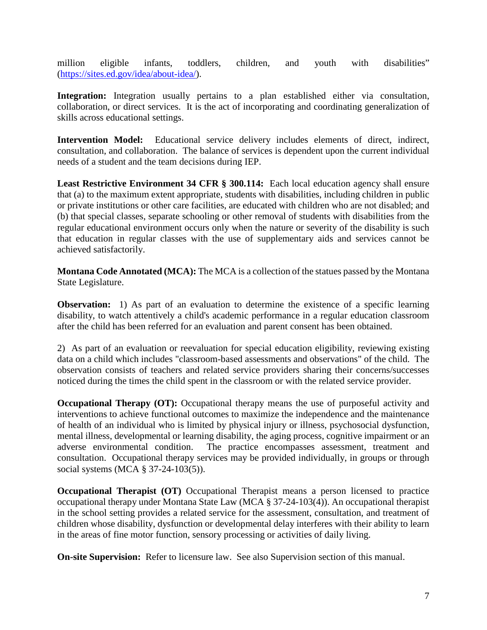million eligible infants, toddlers, children, and youth with disabilities" [\(https://sites.ed.gov/idea/about-idea/\)](https://sites.ed.gov/idea/about-idea/).

**Integration:** Integration usually pertains to a plan established either via consultation, collaboration, or direct services. It is the act of incorporating and coordinating generalization of skills across educational settings.

**Intervention Model:** Educational service delivery includes elements of direct, indirect, consultation, and collaboration. The balance of services is dependent upon the current individual needs of a student and the team decisions during IEP.

**Least Restrictive Environment 34 CFR § 300.114:** Each local education agency shall ensure that (a) to the maximum extent appropriate, students with disabilities, including children in public or private institutions or other care facilities, are educated with children who are not disabled; and (b) that special classes, separate schooling or other removal of students with disabilities from the regular educational environment occurs only when the nature or severity of the disability is such that education in regular classes with the use of supplementary aids and services cannot be achieved satisfactorily.

**Montana Code Annotated (MCA):** The [MCA](http://data.opi.state.mt.us/bills/mca) is a collection of the statues passed by the Montana State Legislature.

**Observation:** 1) As part of an evaluation to determine the existence of a specific learning disability, to watch attentively a child's academic performance in a regular education classroom after the child has been referred for an evaluation and parent consent has been obtained.

2) As part of an evaluation or reevaluation for special education eligibility, reviewing existing data on a child which includes "classroom-based assessments and observations" of the child. The observation consists of teachers and related service providers sharing their concerns/successes noticed during the times the child spent in the classroom or with the related service provider.

**Occupational Therapy (OT):** Occupational therapy means the use of purposeful activity and interventions to achieve functional outcomes to maximize the independence and the maintenance of health of an individual who is limited by physical injury or illness, psychosocial dysfunction, mental illness, developmental or learning disability, the aging process, cognitive impairment or an adverse environmental condition. The practice encompasses assessment, treatment and consultation. Occupational therapy services may be provided individually, in groups or through social systems (MCA § 37-24-103(5)).

**Occupational Therapist (OT)** Occupational Therapist means a person licensed to practice occupational therapy under Montana State Law (MCA § 37-24-103(4)). An occupational therapist in the school setting provides a related service for the assessment, consultation, and treatment of children whose disability, dysfunction or developmental delay interferes with their ability to learn in the areas of fine motor function, sensory processing or activities of daily living.

**On-site Supervision:** Refer to licensure law. See also Supervision section of this manual.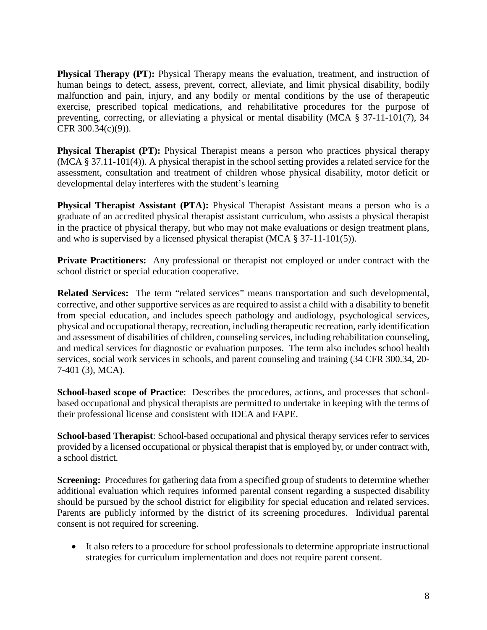**Physical Therapy (PT):** Physical Therapy means the evaluation, treatment, and instruction of human beings to detect, assess, prevent, correct, alleviate, and limit physical disability, bodily malfunction and pain, injury, and any bodily or mental conditions by the use of therapeutic exercise, prescribed topical medications, and rehabilitative procedures for the purpose of preventing, correcting, or alleviating a physical or mental disability (MCA § 37-11-101(7), 34 CFR 300.34(c)(9)).

**Physical Therapist (PT):** Physical Therapist means a person who practices physical therapy (MCA § 37.11-101(4)). A physical therapist in the school setting provides a related service for the assessment, consultation and treatment of children whose physical disability, motor deficit or developmental delay interferes with the student's learning

**Physical Therapist Assistant (PTA):** Physical Therapist Assistant means a person who is a graduate of an accredited physical therapist assistant curriculum, who assists a physical therapist in the practice of physical therapy, but who may not make evaluations or design treatment plans, and who is supervised by a licensed physical therapist (MCA § 37-11-101(5)).

**Private Practitioners:** Any professional or therapist not employed or under contract with the school district or special education cooperative.

**Related Services:** The term "related services" means transportation and such developmental, corrective, and other supportive services as are required to assist a child with a disability to benefit from special education, and includes speech pathology and audiology, psychological services, physical and occupational therapy, recreation, including therapeutic recreation, early identification and assessment of disabilities of children, counseling services, including rehabilitation counseling, and medical services for diagnostic or evaluation purposes. The term also includes school health services, social work services in schools, and parent counseling and training (34 CFR 300.34, 20- 7-401 (3), MCA).

**School-based scope of Practice**: Describes the procedures, actions, and processes that schoolbased occupational and physical therapists are permitted to undertake in keeping with the terms of their professional license and consistent with IDEA and FAPE.

**School-based Therapist**: School-based occupational and physical therapy services refer to services provided by a licensed occupational or physical therapist that is employed by, or under contract with, a school district.

**Screening:** Procedures for gathering data from a specified group of students to determine whether additional evaluation which requires informed parental consent regarding a suspected disability should be pursued by the school district for eligibility for special education and related services. Parents are publicly informed by the district of its screening procedures. Individual parental consent is not required for screening.

• It also refers to a procedure for school professionals to determine appropriate instructional strategies for curriculum implementation and does not require parent consent.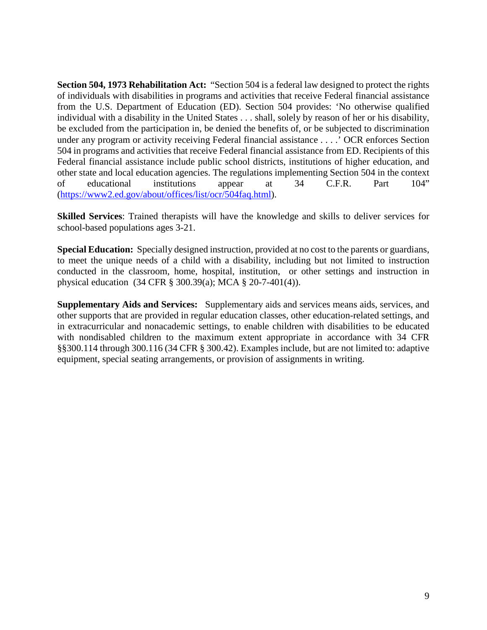**Section 504, 1973 Rehabilitation Act:** "Section 504 is a federal law designed to protect the rights of individuals with disabilities in programs and activities that receive Federal financial assistance from the U.S. Department of Education (ED). Section 504 provides: 'No otherwise qualified individual with a disability in the United States . . . shall, solely by reason of her or his disability, be excluded from the participation in, be denied the benefits of, or be subjected to discrimination under any program or activity receiving Federal financial assistance . . . .' OCR enforces Section 504 in programs and activities that receive Federal financial assistance from ED. Recipients of this Federal financial assistance include public school districts, institutions of higher education, and other state and local education agencies. The regulations implementing Section 504 in the context of educational institutions appear at 34 C.F.R. Part 104" [\(https://www2.ed.gov/about/offices/list/ocr/504faq.html\)](https://www2.ed.gov/about/offices/list/ocr/504faq.html).

**Skilled Services**: Trained therapists will have the knowledge and skills to deliver services for school-based populations ages 3-21.

**Special Education:** Specially designed instruction, provided at no cost to the parents or guardians, to meet the unique needs of a child with a disability, including but not limited to instruction conducted in the classroom, home, hospital, institution, or other settings and instruction in physical education (34 CFR § 300.39(a); MCA § 20-7-401(4)).

**Supplementary Aids and Services:** Supplementary aids and services means aids, services, and other supports that are provided in regular education classes, other education-related settings, and in extracurricular and nonacademic settings, to enable children with disabilities to be educated with nondisabled children to the maximum extent appropriate in accordance with 34 CFR §§300.114 through 300.116 (34 CFR § 300.42). Examples include, but are not limited to: adaptive equipment, special seating arrangements, or provision of assignments in writing.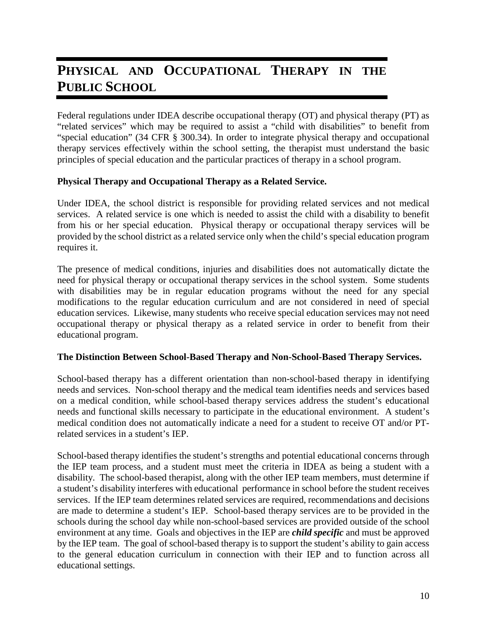# PHYSICAL AND OCCUPATIONAL THERAPY IN THE **PUBLIC SCHOOL**

Federal regulations under IDEA describe occupational therapy (OT) and physical therapy (PT) as "related services" which may be required to assist a "child with disabilities" to benefit from "special education" (34 CFR § 300.34). In order to integrate physical therapy and occupational therapy services effectively within the school setting, the therapist must understand the basic principles of special education and the particular practices of therapy in a school program.

#### **Physical Therapy and Occupational Therapy as a Related Service.**

Under IDEA, the school district is responsible for providing related services and not medical services. A related service is one which is needed to assist the child with a disability to benefit from his or her special education. Physical therapy or occupational therapy services will be provided by the school district as a related service only when the child's special education program requires it.

The presence of medical conditions, injuries and disabilities does not automatically dictate the need for physical therapy or occupational therapy services in the school system. Some students with disabilities may be in regular education programs without the need for any special modifications to the regular education curriculum and are not considered in need of special education services. Likewise, many students who receive special education services may not need occupational therapy or physical therapy as a related service in order to benefit from their educational program.

#### **The Distinction Between School-Based Therapy and Non-School-Based Therapy Services.**

School-based therapy has a different orientation than non-school-based therapy in identifying needs and services. Non-school therapy and the medical team identifies needs and services based on a medical condition, while school-based therapy services address the student's educational needs and functional skills necessary to participate in the educational environment. A student's medical condition does not automatically indicate a need for a student to receive OT and/or PTrelated services in a student's IEP.

School-based therapy identifies the student's strengths and potential educational concerns through the IEP team process, and a student must meet the criteria in IDEA as being a student with a disability. The school-based therapist, along with the other IEP team members, must determine if a student's disability interferes with educational performance in school before the student receives services. If the IEP team determines related services are required, recommendations and decisions are made to determine a student's IEP. School-based therapy services are to be provided in the schools during the school day while non-school-based services are provided outside of the school environment at any time. Goals and objectives in the IEP are *child specific* and must be approved by the IEP team. The goal of school-based therapy is to support the student's ability to gain access to the general education curriculum in connection with their IEP and to function across all educational settings.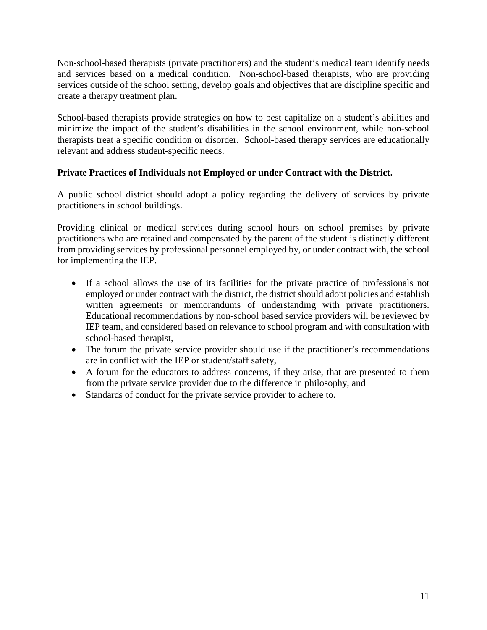Non-school-based therapists (private practitioners) and the student's medical team identify needs and services based on a medical condition. Non-school-based therapists, who are providing services outside of the school setting, develop goals and objectives that are discipline specific and create a therapy treatment plan.

School-based therapists provide strategies on how to best capitalize on a student's abilities and minimize the impact of the student's disabilities in the school environment, while non-school therapists treat a specific condition or disorder. School-based therapy services are educationally relevant and address student-specific needs.

#### **Private Practices of Individuals not Employed or under Contract with the District.**

A public school district should adopt a policy regarding the delivery of services by private practitioners in school buildings.

Providing clinical or medical services during school hours on school premises by private practitioners who are retained and compensated by the parent of the student is distinctly different from providing services by professional personnel employed by, or under contract with, the school for implementing the IEP.

- If a school allows the use of its facilities for the private practice of professionals not employed or under contract with the district, the district should adopt policies and establish written agreements or memorandums of understanding with private practitioners. Educational recommendations by non-school based service providers will be reviewed by IEP team, and considered based on relevance to school program and with consultation with school-based therapist,
- The forum the private service provider should use if the practitioner's recommendations are in conflict with the IEP or student/staff safety,
- A forum for the educators to address concerns, if they arise, that are presented to them from the private service provider due to the difference in philosophy, and
- Standards of conduct for the private service provider to adhere to.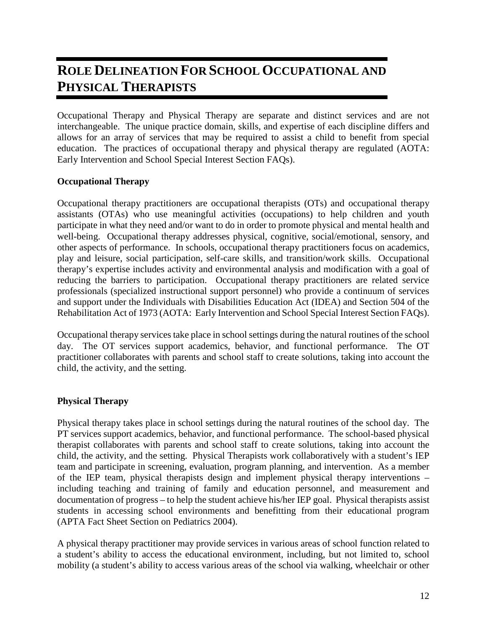# **ROLE DELINEATION FOR SCHOOL OCCUPATIONAL AND PHYSICAL THERAPISTS**

Occupational Therapy and Physical Therapy are separate and distinct services and are not interchangeable. The unique practice domain, skills, and expertise of each discipline differs and allows for an array of services that may be required to assist a child to benefit from special education. The practices of occupational therapy and physical therapy are regulated (AOTA: Early Intervention and School Special Interest Section FAQs).

#### **Occupational Therapy**

Occupational therapy practitioners are occupational therapists (OTs) and occupational therapy assistants (OTAs) who use meaningful activities (occupations) to help children and youth participate in what they need and/or want to do in order to promote physical and mental health and well-being. Occupational therapy addresses physical, cognitive, social/emotional, sensory, and other aspects of performance. In schools, occupational therapy practitioners focus on academics, play and leisure, social participation, self-care skills, and transition/work skills. Occupational therapy's expertise includes activity and environmental analysis and modification with a goal of reducing the barriers to participation. Occupational therapy practitioners are related service professionals (specialized instructional support personnel) who provide a continuum of services and support under the Individuals with Disabilities Education Act (IDEA) and Section 504 of the Rehabilitation Act of 1973 (AOTA: Early Intervention and School Special Interest Section FAQs).

Occupational therapy services take place in school settings during the natural routines of the school day. The OT services support academics, behavior, and functional performance. The OT practitioner collaborates with parents and school staff to create solutions, taking into account the child, the activity, and the setting.

#### **Physical Therapy**

Physical therapy takes place in school settings during the natural routines of the school day. The PT services support academics, behavior, and functional performance. The school-based physical therapist collaborates with parents and school staff to create solutions, taking into account the child, the activity, and the setting. Physical Therapists work collaboratively with a student's IEP team and participate in screening, evaluation, program planning, and intervention. As a member of the IEP team, physical therapists design and implement physical therapy interventions – including teaching and training of family and education personnel, and measurement and documentation of progress – to help the student achieve his/her IEP goal. Physical therapists assist students in accessing school environments and benefitting from their educational program (APTA Fact Sheet Section on Pediatrics 2004).

A physical therapy practitioner may provide services in various areas of school function related to a student's ability to access the educational environment, including, but not limited to, school mobility (a student's ability to access various areas of the school via walking, wheelchair or other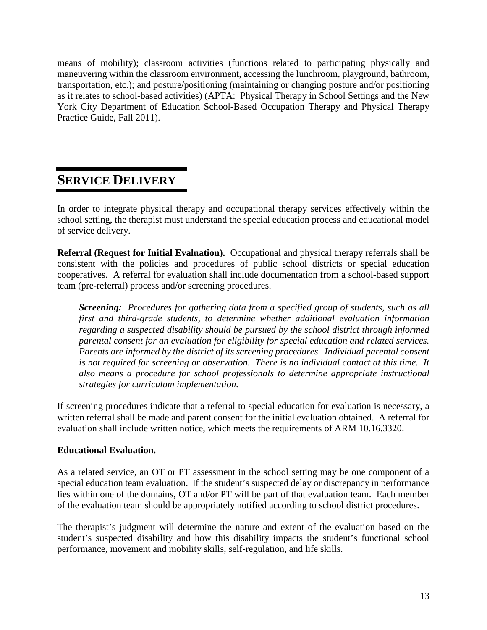means of mobility); classroom activities (functions related to participating physically and maneuvering within the classroom environment, accessing the lunchroom, playground, bathroom, transportation, etc.); and posture/positioning (maintaining or changing posture and/or positioning as it relates to school-based activities) (APTA: Physical Therapy in School Settings and the New York City Department of Education School-Based Occupation Therapy and Physical Therapy Practice Guide, Fall 2011).

# **SERVICE DELIVERY**

In order to integrate physical therapy and occupational therapy services effectively within the school setting, the therapist must understand the special education process and educational model of service delivery.

**Referral (Request for Initial Evaluation).** Occupational and physical therapy referrals shall be consistent with the policies and procedures of public school districts or special education cooperatives. A referral for evaluation shall include documentation from a school-based support team (pre-referral) process and/or screening procedures.

*Screening: Procedures for gathering data from a specified group of students, such as all first and third-grade students, to determine whether additional evaluation information regarding a suspected disability should be pursued by the school district through informed parental consent for an evaluation for eligibility for special education and related services. Parents are informed by the district of its screening procedures. Individual parental consent is not required for screening or observation. There is no individual contact at this time. It also means a procedure for school professionals to determine appropriate instructional strategies for curriculum implementation.*

If screening procedures indicate that a referral to special education for evaluation is necessary, a written referral shall be made and parent consent for the initial evaluation obtained. A referral for evaluation shall include written notice, which meets the requirements of ARM 10.16.3320.

#### **Educational Evaluation.**

As a related service, an OT or PT assessment in the school setting may be one component of a special education team evaluation. If the student's suspected delay or discrepancy in performance lies within one of the domains, OT and/or PT will be part of that evaluation team. Each member of the evaluation team should be appropriately notified according to school district procedures.

The therapist's judgment will determine the nature and extent of the evaluation based on the student's suspected disability and how this disability impacts the student's functional school performance, movement and mobility skills, self-regulation, and life skills.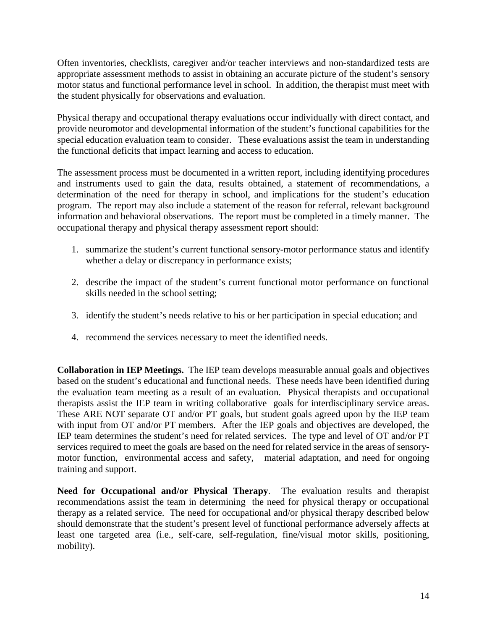Often inventories, checklists, caregiver and/or teacher interviews and non-standardized tests are appropriate assessment methods to assist in obtaining an accurate picture of the student's sensory motor status and functional performance level in school. In addition, the therapist must meet with the student physically for observations and evaluation.

Physical therapy and occupational therapy evaluations occur individually with direct contact, and provide neuromotor and developmental information of the student's functional capabilities for the special education evaluation team to consider. These evaluations assist the team in understanding the functional deficits that impact learning and access to education.

The assessment process must be documented in a written report, including identifying procedures and instruments used to gain the data, results obtained, a statement of recommendations, a determination of the need for therapy in school, and implications for the student's education program. The report may also include a statement of the reason for referral, relevant background information and behavioral observations. The report must be completed in a timely manner. The occupational therapy and physical therapy assessment report should:

- 1. summarize the student's current functional sensory-motor performance status and identify whether a delay or discrepancy in performance exists;
- 2. describe the impact of the student's current functional motor performance on functional skills needed in the school setting;
- 3. identify the student's needs relative to his or her participation in special education; and
- 4. recommend the services necessary to meet the identified needs.

**Collaboration in IEP Meetings.** The IEP team develops measurable annual goals and objectives based on the student's educational and functional needs. These needs have been identified during the evaluation team meeting as a result of an evaluation. Physical therapists and occupational therapists assist the IEP team in writing collaborative goals for interdisciplinary service areas. These ARE NOT separate OT and/or PT goals, but student goals agreed upon by the IEP team with input from OT and/or PT members. After the IEP goals and objectives are developed, the IEP team determines the student's need for related services. The type and level of OT and/or PT services required to meet the goals are based on the need for related service in the areas of sensorymotor function, environmental access and safety, material adaptation, and need for ongoing training and support.

**Need for Occupational and/or Physical Therapy**. The evaluation results and therapist recommendations assist the team in determining the need for physical therapy or occupational therapy as a related service. The need for occupational and/or physical therapy described below should demonstrate that the student's present level of functional performance adversely affects at least one targeted area (i.e., self-care, self-regulation, fine/visual motor skills, positioning, mobility).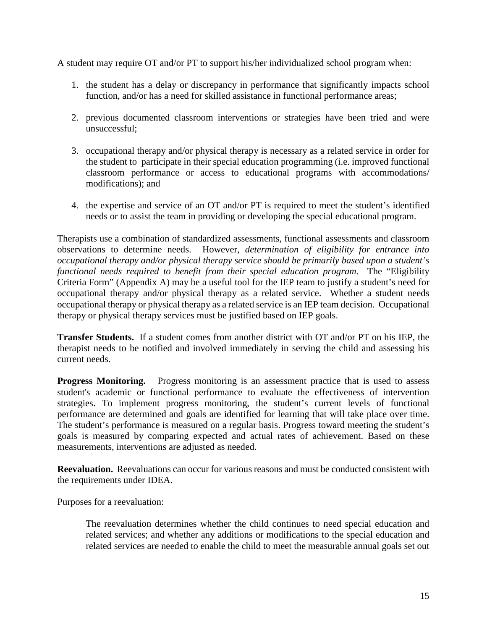A student may require OT and/or PT to support his/her individualized school program when:

- 1. the student has a delay or discrepancy in performance that significantly impacts school function, and/or has a need for skilled assistance in functional performance areas;
- 2. previous documented classroom interventions or strategies have been tried and were unsuccessful;
- 3. occupational therapy and/or physical therapy is necessary as a related service in order for the student to participate in their special education programming (i.e. improved functional classroom performance or access to educational programs with accommodations/ modifications); and
- 4. the expertise and service of an OT and/or PT is required to meet the student's identified needs or to assist the team in providing or developing the special educational program.

Therapists use a combination of standardized assessments, functional assessments and classroom observations to determine needs. However, *determination of eligibility for entrance into occupational therapy and/or physical therapy service should be primarily based upon a student's functional needs required to benefit from their special education program*. The "Eligibility Criteria Form" (Appendix A) may be a useful tool for the IEP team to justify a student's need for occupational therapy and/or physical therapy as a related service. Whether a student needs occupational therapy or physical therapy as a related service is an IEP team decision. Occupational therapy or physical therapy services must be justified based on IEP goals.

**Transfer Students.** If a student comes from another district with OT and/or PT on his IEP, the therapist needs to be notified and involved immediately in serving the child and assessing his current needs.

**Progress Monitoring.** Progress monitoring is an assessment practice that is used to assess student's academic or functional performance to evaluate the effectiveness of intervention strategies. To implement progress monitoring, the student's current levels of functional performance are determined and goals are identified for learning that will take place over time. The student's performance is measured on a regular basis. Progress toward meeting the student's goals is measured by comparing expected and actual rates of achievement. Based on these measurements, interventions are adjusted as needed.

**Reevaluation.** Reevaluations can occur for various reasons and must be conducted consistent with the requirements under IDEA.

Purposes for a reevaluation:

The reevaluation determines whether the child continues to need special education and related services; and whether any additions or modifications to the special education and related services are needed to enable the child to meet the measurable annual goals set out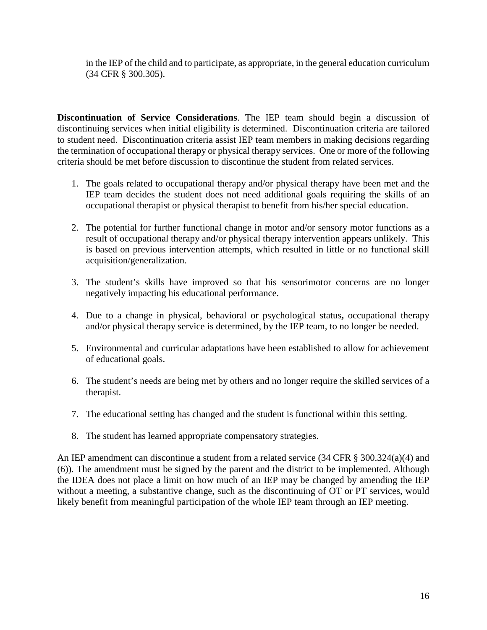in the IEP of the child and to participate, as appropriate, in the general education curriculum (34 CFR § 300.305).

**Discontinuation of Service Considerations**. The IEP team should begin a discussion of discontinuing services when initial eligibility is determined. Discontinuation criteria are tailored to student need. Discontinuation criteria assist IEP team members in making decisions regarding the termination of occupational therapy or physical therapy services. One or more of the following criteria should be met before discussion to discontinue the student from related services.

- 1. The goals related to occupational therapy and/or physical therapy have been met and the IEP team decides the student does not need additional goals requiring the skills of an occupational therapist or physical therapist to benefit from his/her special education.
- 2. The potential for further functional change in motor and/or sensory motor functions as a result of occupational therapy and/or physical therapy intervention appears unlikely. This is based on previous intervention attempts, which resulted in little or no functional skill acquisition/generalization.
- 3. The student's skills have improved so that his sensorimotor concerns are no longer negatively impacting his educational performance.
- 4. Due to a change in physical, behavioral or psychological status**,** occupational therapy and/or physical therapy service is determined, by the IEP team, to no longer be needed.
- 5. Environmental and curricular adaptations have been established to allow for achievement of educational goals.
- 6. The student's needs are being met by others and no longer require the skilled services of a therapist.
- 7. The educational setting has changed and the student is functional within this setting.
- 8. The student has learned appropriate compensatory strategies.

An IEP amendment can discontinue a student from a related service (34 CFR § 300.324(a)(4) and (6)). The amendment must be signed by the parent and the district to be implemented. Although the IDEA does not place a limit on how much of an IEP may be changed by amending the IEP without a meeting, a substantive change, such as the discontinuing of OT or PT services, would likely benefit from meaningful participation of the whole IEP team through an IEP meeting.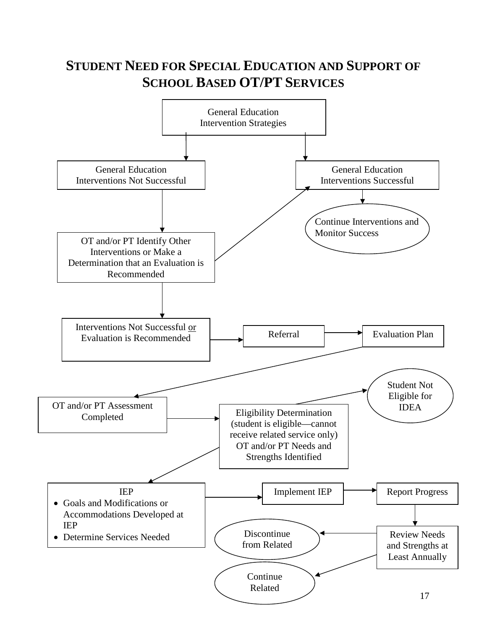# **STUDENT NEED FOR SPECIAL EDUCATION AND SUPPORT OF SCHOOL BASED OT/PT SERVICES**

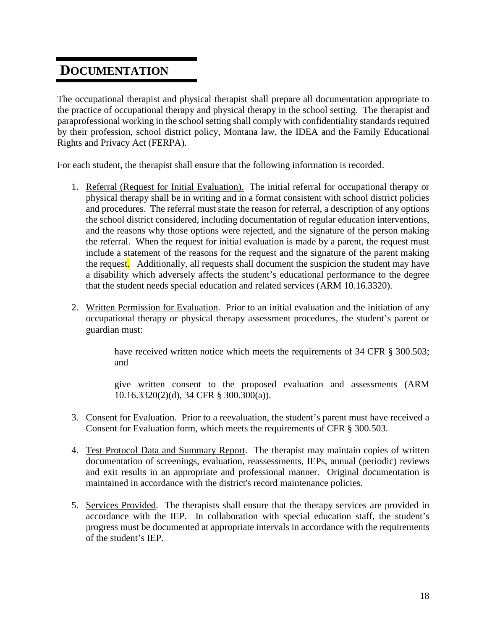### **DOCUMENTATION**

The occupational therapist and physical therapist shall prepare all documentation appropriate to the practice of occupational therapy and physical therapy in the school setting. The therapist and paraprofessional working in the school setting shall comply with confidentiality standards required by their profession, school district policy, Montana law, the IDEA and the Family Educational Rights and Privacy Act (FERPA).

For each student, the therapist shall ensure that the following information is recorded.

- 1. Referral (Request for Initial Evaluation). The initial referral for occupational therapy or physical therapy shall be in writing and in a format consistent with school district policies and procedures. The referral must state the reason for referral, a description of any options the school district considered, including documentation of regular education interventions, and the reasons why those options were rejected, and the signature of the person making the referral. When the request for initial evaluation is made by a parent, the request must include a statement of the reasons for the request and the signature of the parent making the request. Additionally, all requests shall document the suspicion the student may have a disability which adversely affects the student's educational performance to the degree that the student needs special education and related services (ARM 10.16.3320).
- 2. Written Permission for Evaluation. Prior to an initial evaluation and the initiation of any occupational therapy or physical therapy assessment procedures, the student's parent or guardian must:

have received written notice which meets the requirements of 34 CFR § 300.503; and

give written consent to the proposed evaluation and assessments (ARM 10.16.3320(2)(d), 34 CFR § 300.300(a)).

- 3. Consent for Evaluation. Prior to a reevaluation, the student's parent must have received a Consent for Evaluation form, which meets the requirements of CFR § 300.503.
- 4. Test Protocol Data and Summary Report. The therapist may maintain copies of written documentation of screenings, evaluation, reassessments, IEPs, annual (periodic) reviews and exit results in an appropriate and professional manner. Original documentation is maintained in accordance with the district's record maintenance policies.
- 5. Services Provided. The therapists shall ensure that the therapy services are provided in accordance with the IEP. In collaboration with special education staff, the student's progress must be documented at appropriate intervals in accordance with the requirements of the student's IEP.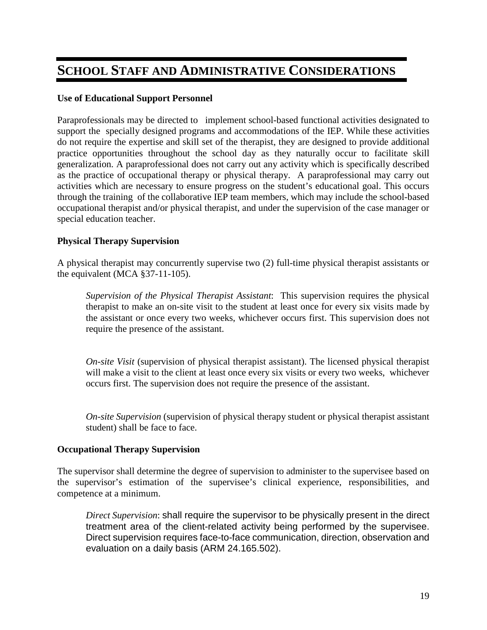# **SCHOOL STAFF AND ADMINISTRATIVE CONSIDERATIONS**

#### **Use of Educational Support Personnel**

Paraprofessionals may be directed to implement school-based functional activities designated to support the specially designed programs and accommodations of the IEP. While these activities do not require the expertise and skill set of the therapist, they are designed to provide additional practice opportunities throughout the school day as they naturally occur to facilitate skill generalization. A paraprofessional does not carry out any activity which is specifically described as the practice of occupational therapy or physical therapy. A paraprofessional may carry out activities which are necessary to ensure progress on the student's educational goal. This occurs through the training of the collaborative IEP team members, which may include the school-based occupational therapist and/or physical therapist, and under the supervision of the case manager or special education teacher.

#### **Physical Therapy Supervision**

A physical therapist may concurrently supervise two (2) full-time physical therapist assistants or the equivalent (MCA §37-11-105).

*Supervision of the Physical Therapist Assistant*: This supervision requires the physical therapist to make an on-site visit to the student at least once for every six visits made by the assistant or once every two weeks, whichever occurs first. This supervision does not require the presence of the assistant.

*On-site Visit* (supervision of physical therapist assistant). The licensed physical therapist will make a visit to the client at least once every six visits or every two weeks, whichever occurs first. The supervision does not require the presence of the assistant.

*On-site Supervision* (supervision of physical therapy student or physical therapist assistant student) shall be face to face.

#### **Occupational Therapy Supervision**

The supervisor shall determine the degree of supervision to administer to the supervisee based on the supervisor's estimation of the supervisee's clinical experience, responsibilities, and competence at a minimum.

*Direct Supervision*: shall require the supervisor to be physically present in the direct treatment area of the client-related activity being performed by the supervisee. Direct supervision requires face-to-face communication, direction, observation and evaluation on a daily basis (ARM 24.165.502).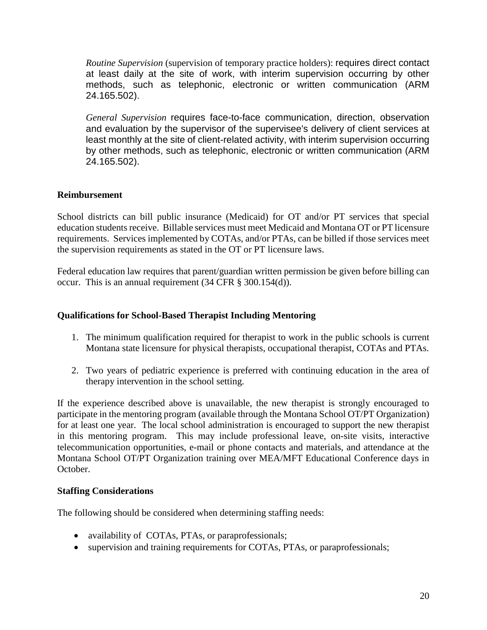*Routine Supervision* (supervision of temporary practice holders): requires direct contact at least daily at the site of work, with interim supervision occurring by other methods, such as telephonic, electronic or written communication (ARM 24.165.502).

*General Supervision* requires face-to-face communication, direction, observation and evaluation by the supervisor of the supervisee's delivery of client services at least monthly at the site of client-related activity, with interim supervision occurring by other methods, such as telephonic, electronic or written communication (ARM 24.165.502).

#### **Reimbursement**

School districts can bill public insurance (Medicaid) for OT and/or PT services that special education students receive. Billable services must meet Medicaid and Montana OT or PT licensure requirements. Services implemented by COTAs, and/or PTAs, can be billed if those services meet the supervision requirements as stated in the OT or PT licensure laws.

Federal education law requires that parent/guardian written permission be given before billing can occur. This is an annual requirement (34 CFR § 300.154(d)).

#### **Qualifications for School-Based Therapist Including Mentoring**

- 1. The minimum qualification required for therapist to work in the public schools is current Montana state licensure for physical therapists, occupational therapist, COTAs and PTAs.
- 2. Two years of pediatric experience is preferred with continuing education in the area of therapy intervention in the school setting.

If the experience described above is unavailable, the new therapist is strongly encouraged to participate in the mentoring program (available through the Montana School OT/PT Organization) for at least one year. The local school administration is encouraged to support the new therapist in this mentoring program. This may include professional leave, on-site visits, interactive telecommunication opportunities, e-mail or phone contacts and materials, and attendance at the Montana School OT/PT Organization training over MEA/MFT Educational Conference days in October.

#### **Staffing Considerations**

The following should be considered when determining staffing needs:

- availability of COTAs, PTAs, or paraprofessionals;
- supervision and training requirements for COTAs, PTAs, or paraprofessionals;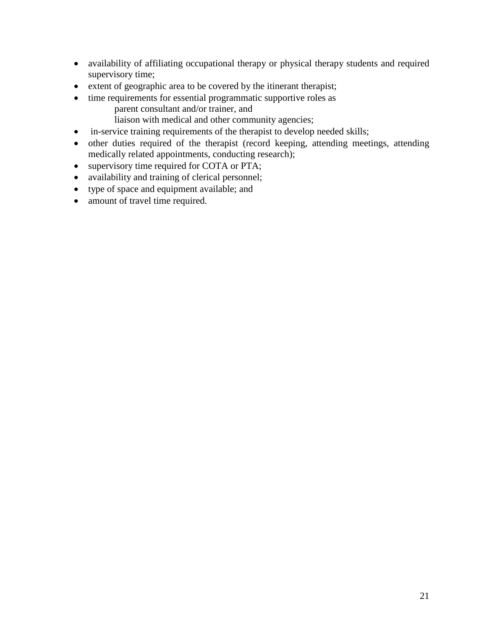- availability of affiliating occupational therapy or physical therapy students and required supervisory time;
- extent of geographic area to be covered by the itinerant therapist;
- time requirements for essential programmatic supportive roles as parent consultant and/or trainer, and
	- liaison with medical and other community agencies;
- in-service training requirements of the therapist to develop needed skills;
- other duties required of the therapist (record keeping, attending meetings, attending medically related appointments, conducting research);
- supervisory time required for COTA or PTA;
- availability and training of clerical personnel;
- type of space and equipment available; and
- amount of travel time required.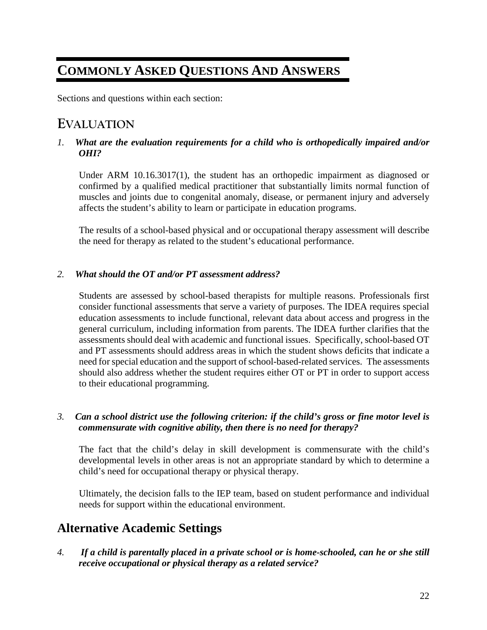# **COMMONLY ASKED QUESTIONS AND ANSWERS**

Sections and questions within each section:

### **EVALUATION**

#### *1. What are the evaluation requirements for a child who is orthopedically impaired and/or OHI?*

Under ARM 10.16.3017(1), the student has an orthopedic impairment as diagnosed or confirmed by a qualified medical practitioner that substantially limits normal function of muscles and joints due to congenital anomaly, disease, or permanent injury and adversely affects the student's ability to learn or participate in education programs.

The results of a school-based physical and or occupational therapy assessment will describe the need for therapy as related to the student's educational performance.

#### *2. What should the OT and/or PT assessment address?*

Students are assessed by school-based therapists for multiple reasons. Professionals first consider functional assessments that serve a variety of purposes. The IDEA requires special education assessments to include functional, relevant data about access and progress in the general curriculum, including information from parents. The IDEA further clarifies that the assessments should deal with academic and functional issues. Specifically, school-based OT and PT assessments should address areas in which the student shows deficits that indicate a need for special education and the support of school-based-related services. The assessments should also address whether the student requires either OT or PT in order to support access to their educational programming.

#### *3. Can a school district use the following criterion: if the child's gross or fine motor level is commensurate with cognitive ability, then there is no need for therapy?*

The fact that the child's delay in skill development is commensurate with the child's developmental levels in other areas is not an appropriate standard by which to determine a child's need for occupational therapy or physical therapy.

Ultimately, the decision falls to the IEP team, based on student performance and individual needs for support within the educational environment.

### **Alternative Academic Settings**

*4.**If a child is parentally placed in a private school or is home-schooled, can he or she still receive occupational or physical therapy as a related service?*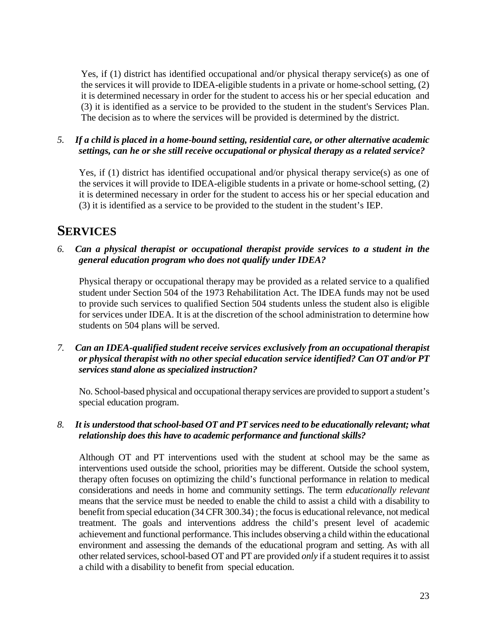Yes, if (1) district has identified occupational and/or physical therapy service(s) as one of the services it will provide to IDEA-eligible students in a private or home-school setting, (2) it is determined necessary in order for the student to access his or her special education and (3) it is identified as a service to be provided to the student in the student's Services Plan. The decision as to where the services will be provided is determined by the district.

#### *5. If a child is placed in a home-bound setting, residential care, or other alternative academic settings, can he or she still receive occupational or physical therapy as a related service?*

Yes, if (1) district has identified occupational and/or physical therapy service(s) as one of the services it will provide to IDEA-eligible students in a private or home-school setting, (2) it is determined necessary in order for the student to access his or her special education and (3) it is identified as a service to be provided to the student in the student's IEP.

# **SERVICES**

*6. Can a physical therapist or occupational therapist provide services to a student in the general education program who does not qualify under IDEA?*

Physical therapy or occupational therapy may be provided as a related service to a qualified student under Section 504 of the 1973 Rehabilitation Act. The IDEA funds may not be used to provide such services to qualified Section 504 students unless the student also is eligible for services under IDEA. It is at the discretion of the school administration to determine how students on 504 plans will be served.

*7. Can an IDEA-qualified student receive services exclusively from an occupational therapist or physical therapist with no other special education service identified? Can OT and/or PT services stand alone as specialized instruction?*

No. School-based physical and occupational therapy services are provided to support a student's special education program.

#### *8. It is understood that school-based OT and PT services need to be educationally relevant; what relationship does this have to academic performance and functional skills?*

Although OT and PT interventions used with the student at school may be the same as interventions used outside the school, priorities may be different. Outside the school system, therapy often focuses on optimizing the child's functional performance in relation to medical considerations and needs in home and community settings. The term *educationally relevant* means that the service must be needed to enable the child to assist a child with a disability to benefit from special education (34 CFR 300.34) ; the focus is educational relevance, not medical treatment. The goals and interventions address the child's present level of academic achievement and functional performance. This includes observing a child within the educational environment and assessing the demands of the educational program and setting. As with all other related services, school-based OT and PT are provided *only* if a student requires it to assist a child with a disability to benefit from special education.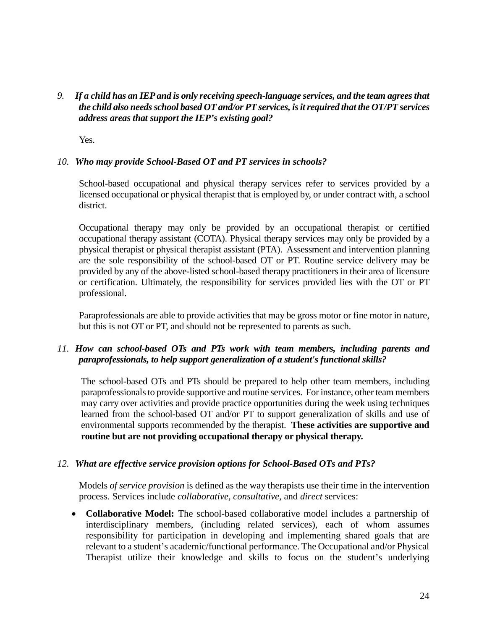#### *9. If a child has an IEP and is only receiving speech-language services, and the team agrees that the child also needs school based OT and/or PT services, is it required that the OT/PT services address areas that support the IEP's existing goal?*

Yes.

#### *10. Who may provide School-Based OT and PT services in schools?*

School-based occupational and physical therapy services refer to services provided by a licensed occupational or physical therapist that is employed by, or under contract with, a school district.

Occupational therapy may only be provided by an occupational therapist or certified occupational therapy assistant (COTA). Physical therapy services may only be provided by a physical therapist or physical therapist assistant (PTA). Assessment and intervention planning are the sole responsibility of the school-based OT or PT. Routine service delivery may be provided by any of the above-listed school-based therapy practitioners in their area of licensure or certification. Ultimately, the responsibility for services provided lies with the OT or PT professional.

Paraprofessionals are able to provide activities that may be gross motor or fine motor in nature, but this is not OT or PT, and should not be represented to parents as such.

#### *11. How can school-based OTs and PTs work with team members, including parents and paraprofessionals, to help support generalization of a student's functional skills?*

The school-based OTs and PTs should be prepared to help other team members, including paraprofessionals to provide supportive and routine services. For instance, other team members may carry over activities and provide practice opportunities during the week using techniques learned from the school-based OT and/or PT to support generalization of skills and use of environmental supports recommended by the therapist. **These activities are supportive and routine but are not providing occupational therapy or physical therapy.**

#### *12. What are effective service provision options for School-Based OTs and PTs?*

Models *of service provision* is defined as the way therapists use their time in the intervention process. Services include *collaborative, consultative,* and *direct* services:

• **Collaborative Model:** The school-based collaborative model includes a partnership of interdisciplinary members, (including related services), each of whom assumes responsibility for participation in developing and implementing shared goals that are relevant to a student's academic/functional performance. The Occupational and/or Physical Therapist utilize their knowledge and skills to focus on the student's underlying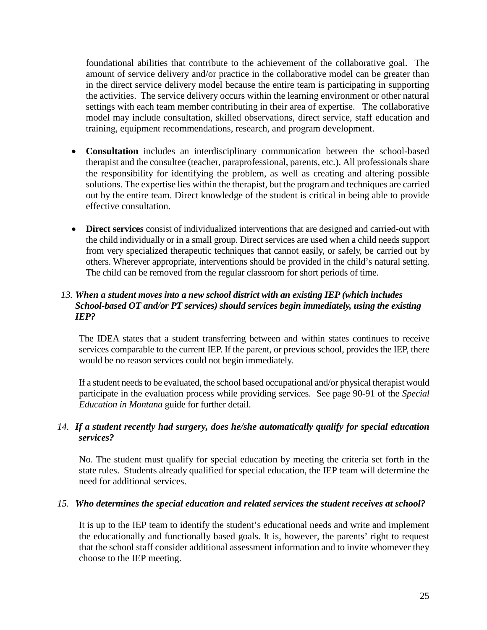foundational abilities that contribute to the achievement of the collaborative goal. The amount of service delivery and/or practice in the collaborative model can be greater than in the direct service delivery model because the entire team is participating in supporting the activities. The service delivery occurs within the learning environment or other natural settings with each team member contributing in their area of expertise. The collaborative model may include consultation, skilled observations, direct service, staff education and training, equipment recommendations, research, and program development.

- **Consultation** includes an interdisciplinary communication between the school-based therapist and the consultee (teacher, paraprofessional, parents, etc.). All professionals share the responsibility for identifying the problem, as well as creating and altering possible solutions. The expertise lies within the therapist, but the program and techniques are carried out by the entire team. Direct knowledge of the student is critical in being able to provide effective consultation.
- **Direct service***s* consist of individualized interventions that are designed and carried-out with the child individually or in a small group. Direct services are used when a child needs support from very specialized therapeutic techniques that cannot easily, or safely, be carried out by others. Wherever appropriate, interventions should be provided in the child's natural setting. The child can be removed from the regular classroom for short periods of time.

#### *13. When a student moves into a new school district with an existing IEP (which includes School-based OT and/or PT services) should services begin immediately, using the existing IEP?*

The IDEA states that a student transferring between and within states continues to receive services comparable to the current IEP. If the parent, or previous school, provides the IEP, there would be no reason services could not begin immediately.

If a student needs to be evaluated, the school based occupational and/or physical therapist would participate in the evaluation process while providing services. See page 90-91 of the *Special Education in Montana* guide for further detail.

#### *14. If a student recently had surgery, does he/she automatically qualify for special education services?*

No. The student must qualify for special education by meeting the criteria set forth in the state rules. Students already qualified for special education, the IEP team will determine the need for additional services.

#### *15. Who determines the special education and related services the student receives at school?*

It is up to the IEP team to identify the student's educational needs and write and implement the educationally and functionally based goals. It is, however, the parents' right to request that the school staff consider additional assessment information and to invite whomever they choose to the IEP meeting.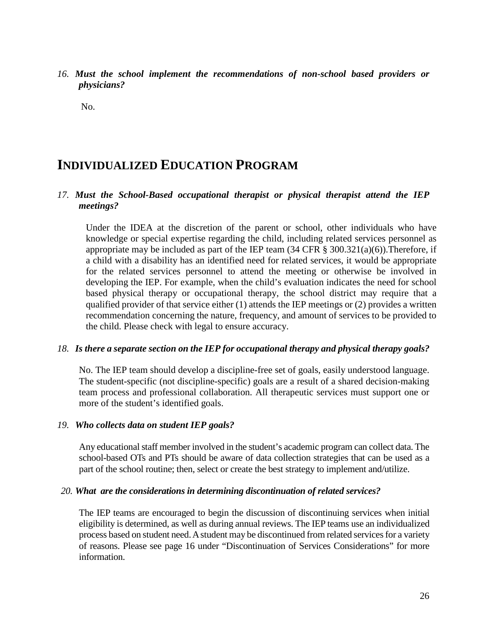*16. Must the school implement the recommendations of non-school based providers or physicians?*

No.

# **INDIVIDUALIZED EDUCATION PROGRAM**

#### *17. Must the School-Based occupational therapist or physical therapist attend the IEP meetings?*

Under the IDEA at the discretion of the parent or school, other individuals who have knowledge or special expertise regarding the child, including related services personnel as appropriate may be included as part of the IEP team  $(34 \text{ CFR} \text{ } \text{\&} 300.321(a)(6))$ . Therefore, if a child with a disability has an identified need for related services, it would be appropriate for the related services personnel to attend the meeting or otherwise be involved in developing the IEP. For example, when the child's evaluation indicates the need for school based physical therapy or occupational therapy, the school district may require that a qualified provider of that service either (1) attends the IEP meetings or (2) provides a written recommendation concerning the nature, frequency, and amount of services to be provided to the child. Please check with legal to ensure accuracy.

#### *18. Is there a separate section on the IEP for occupational therapy and physical therapy goals?*

No. The IEP team should develop a discipline-free set of goals, easily understood language. The student-specific (not discipline-specific) goals are a result of a shared decision-making team process and professional collaboration. All therapeutic services must support one or more of the student's identified goals.

#### *19. Who collects data on student IEP goals?*

Any educational staff member involved in the student's academic program can collect data. The school-based OTs and PTs should be aware of data collection strategies that can be used as a part of the school routine; then, select or create the best strategy to implement and/utilize.

#### *20. What are the considerations in determining discontinuation of related services?*

The IEP teams are encouraged to begin the discussion of discontinuing services when initial eligibility is determined, as well as during annual reviews. The IEP teams use an individualized process based on student need. A student may be discontinued from related services for a variety of reasons. Please see page 16 under "Discontinuation of Services Considerations" for more information.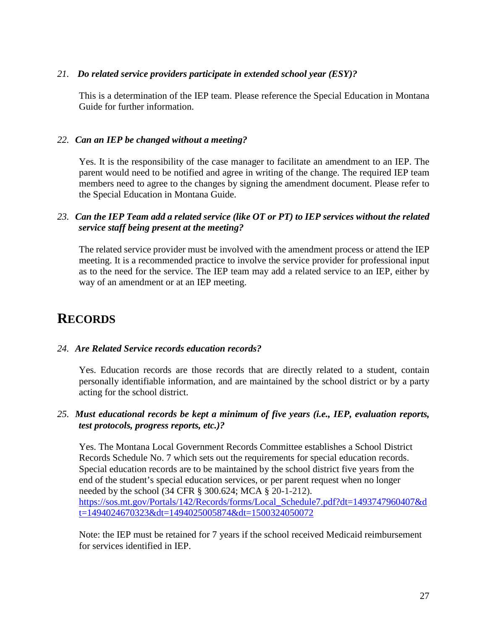#### *21. Do related service providers participate in extended school year (ESY)?*

This is a determination of the IEP team. Please reference the Special Education in Montana Guide for further information.

#### *22. Can an IEP be changed without a meeting?*

Yes. It is the responsibility of the case manager to facilitate an amendment to an IEP. The parent would need to be notified and agree in writing of the change. The required IEP team members need to agree to the changes by signing the amendment document. Please refer to the Special Education in Montana Guide.

#### *23. Can the IEP Team add a related service (like OT or PT) to IEP services without the related service staff being present at the meeting?*

The related service provider must be involved with the amendment process or attend the IEP meeting. It is a recommended practice to involve the service provider for professional input as to the need for the service. The IEP team may add a related service to an IEP, either by way of an amendment or at an IEP meeting.

# **RECORDS**

#### *24. Are Related Service records education records?*

Yes. Education records are those records that are directly related to a student, contain personally identifiable information, and are maintained by the school district or by a party acting for the school district.

#### *25. Must educational records be kept a minimum of five years (i.e., IEP, evaluation reports, test protocols, progress reports, etc.)?*

Yes. The Montana Local Government Records Committee establishes a School District Records Schedule No. 7 which sets out the requirements for special education records. Special education records are to be maintained by the school district five years from the end of the student's special education services, or per parent request when no longer needed by the school (34 CFR § 300.624; MCA § 20-1-212). [https://sos.mt.gov/Portals/142/Records/forms/Local\\_Schedule7.pdf?dt=1493747960407&d](https://sos.mt.gov/Portals/142/Records/forms/Local_Schedule7.pdf?dt=1493747960407&dt=1494024670323&dt=1494025005874&dt=1500324050072) [t=1494024670323&dt=1494025005874&dt=1500324050072](https://sos.mt.gov/Portals/142/Records/forms/Local_Schedule7.pdf?dt=1493747960407&dt=1494024670323&dt=1494025005874&dt=1500324050072)

Note: the IEP must be retained for 7 years if the school received Medicaid reimbursement for services identified in IEP.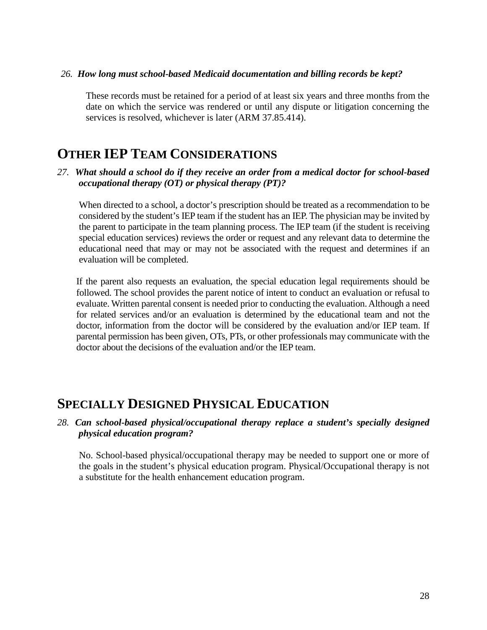#### *26. How long must school-based Medicaid documentation and billing records be kept?*

These records must be retained for a period of at least six years and three months from the date on which the service was rendered or until any dispute or litigation concerning the services is resolved, whichever is later (ARM 37.85.414).

# **OTHER IEP TEAM CONSIDERATIONS**

#### *27. What should a school do if they receive an order from a medical doctor for school-based occupational therapy (OT) or physical therapy (PT)?*

When directed to a school, a doctor's prescription should be treated as a recommendation to be considered by the student's IEP team if the student has an IEP. The physician may be invited by the parent to participate in the team planning process. The IEP team (if the student is receiving special education services) reviews the order or request and any relevant data to determine the educational need that may or may not be associated with the request and determines if an evaluation will be completed.

If the parent also requests an evaluation, the special education legal requirements should be followed. The school provides the parent notice of intent to conduct an evaluation or refusal to evaluate. Written parental consent is needed prior to conducting the evaluation. Although a need for related services and/or an evaluation is determined by the educational team and not the doctor, information from the doctor will be considered by the evaluation and/or IEP team. If parental permission has been given, OTs, PTs, or other professionals may communicate with the doctor about the decisions of the evaluation and/or the IEP team.

# **SPECIALLY DESIGNED PHYSICAL EDUCATION**

#### *28. Can school-based physical/occupational therapy replace a student's specially designed physical education program?*

No. School-based physical/occupational therapy may be needed to support one or more of the goals in the student's physical education program. Physical/Occupational therapy is not a substitute for the health enhancement education program.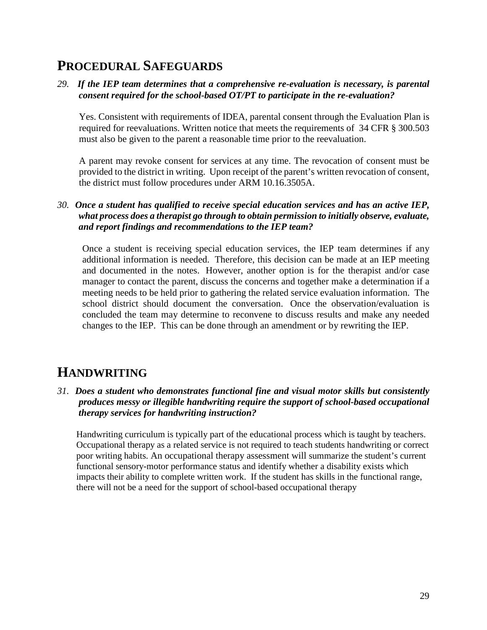# **PROCEDURAL SAFEGUARDS**

*29. If the IEP team determines that a comprehensive re-evaluation is necessary, is parental consent required for the school-based OT/PT to participate in the re-evaluation?* 

Yes. Consistent with requirements of IDEA, parental consent through the Evaluation Plan is required for reevaluations. Written notice that meets the requirements of 34 CFR § 300.503 must also be given to the parent a reasonable time prior to the reevaluation.

A parent may revoke consent for services at any time. The revocation of consent must be provided to the district in writing. Upon receipt of the parent's written revocation of consent, the district must follow procedures under ARM 10.16.3505A.

*30. Once a student has qualified to receive special education services and has an active IEP, what process does a therapist go through to obtain permission to initially observe, evaluate, and report findings and recommendations to the IEP team?*

Once a student is receiving special education services, the IEP team determines if any additional information is needed. Therefore, this decision can be made at an IEP meeting and documented in the notes. However, another option is for the therapist and/or case manager to contact the parent, discuss the concerns and together make a determination if a meeting needs to be held prior to gathering the related service evaluation information. The school district should document the conversation. Once the observation/evaluation is concluded the team may determine to reconvene to discuss results and make any needed changes to the IEP. This can be done through an amendment or by rewriting the IEP.

# **HANDWRITING**

*31. Does a student who demonstrates functional fine and visual motor skills but consistently produces messy or illegible handwriting require the support of school-based occupational therapy services for handwriting instruction?*

Handwriting curriculum is typically part of the educational process which is taught by teachers. Occupational therapy as a related service is not required to teach students handwriting or correct poor writing habits. An occupational therapy assessment will summarize the student's current functional sensory-motor performance status and identify whether a disability exists which impacts their ability to complete written work. If the student has skills in the functional range, there will not be a need for the support of school-based occupational therapy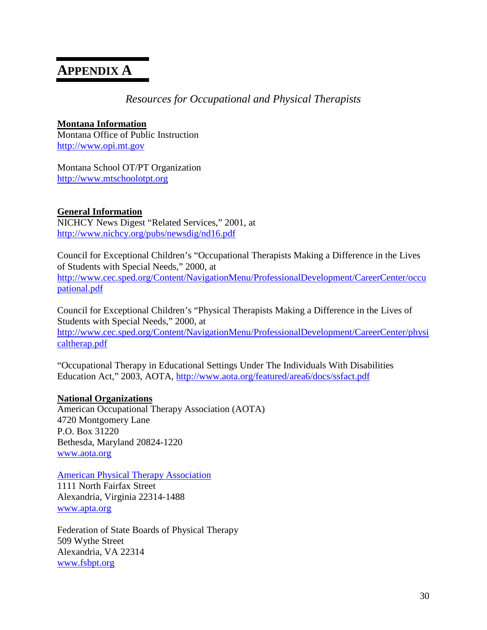# **APPENDIX A**

#### *Resources for Occupational and Physical Therapists*

#### **Montana Information**

Montana Office of Public Instruction [http://www.opi.mt.gov](http://www.opi.mt.gov/)

Montana School OT/PT Organization [http://www.mtschoolotpt.org](http://www.mtschoolotpt.org/)

#### **General Information**

NICHCY News Digest "Related Services," 2001, at <http://www.nichcy.org/pubs/newsdig/nd16.pdf>

Council for Exceptional Children's "Occupational Therapists Making a Difference in the Lives of Students with Special Needs," 2000, at [http://www.cec.sped.org/Content/NavigationMenu/ProfessionalDevelopment/CareerCenter/occu](http://www.cec.sped.org/Content/NavigationMenu/ProfessionalDevelopment/CareerCenter/occupational.pdf) [pational.pdf](http://www.cec.sped.org/Content/NavigationMenu/ProfessionalDevelopment/CareerCenter/occupational.pdf)

Council for Exceptional Children's "Physical Therapists Making a Difference in the Lives of Students with Special Needs," 2000, at [http://www.cec.sped.org/Content/NavigationMenu/ProfessionalDevelopment/CareerCenter/physi](http://www.cec.sped.org/Content/NavigationMenu/ProfessionalDevelopment/CareerCenter/physicaltherap.pdf) [caltherap.pdf](http://www.cec.sped.org/Content/NavigationMenu/ProfessionalDevelopment/CareerCenter/physicaltherap.pdf)

"Occupational Therapy in Educational Settings Under The Individuals With Disabilities Education Act," 2003, AOTA,<http://www.aota.org/featured/area6/docs/ssfact.pdf>

#### **National Organizations**

American Occupational Therapy Association (AOTA) 4720 Montgomery Lane P.O. Box 31220 Bethesda, Maryland 20824-1220 [www.aota.org](http://www.aota.org/)

[American Physical Therapy Association](http://www.apta.org/AM/Template.cfm?Section=Home) 1111 North Fairfax Street Alexandria, Virginia 22314-1488 [www.apta.org](http://www.apta.org/)

Federation of State Boards of Physical Therapy 509 Wythe Street Alexandria, VA 22314 [www.fsbpt.org](http://www.fsbpt.org/)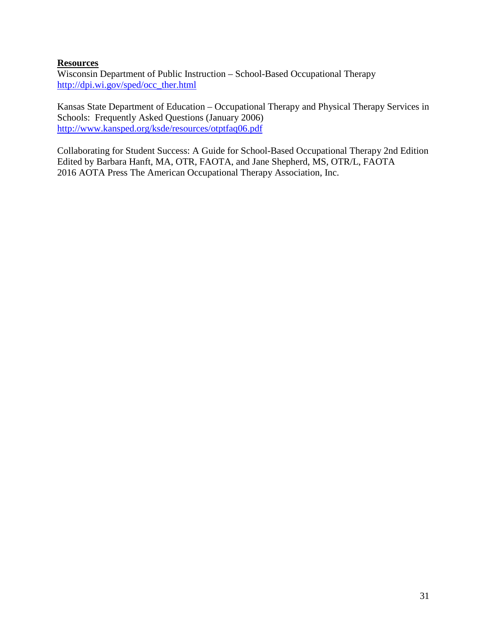#### **Resources**

Wisconsin Department of Public Instruction – School-Based Occupational Therapy [http://dpi.wi.gov/sped/occ\\_ther.html](http://dpi.wi.gov/sped/occ_ther.html)

Kansas State Department of Education – Occupational Therapy and Physical Therapy Services in Schools: Frequently Asked Questions (January 2006) <http://www.kansped.org/ksde/resources/otptfaq06.pdf>

Collaborating for Student Success: A Guide for School-Based Occupational Therapy 2nd Edition Edited by Barbara Hanft, MA, OTR, FAOTA, and Jane Shepherd, MS, OTR/L, FAOTA 2016 AOTA Press The American Occupational Therapy Association, Inc.